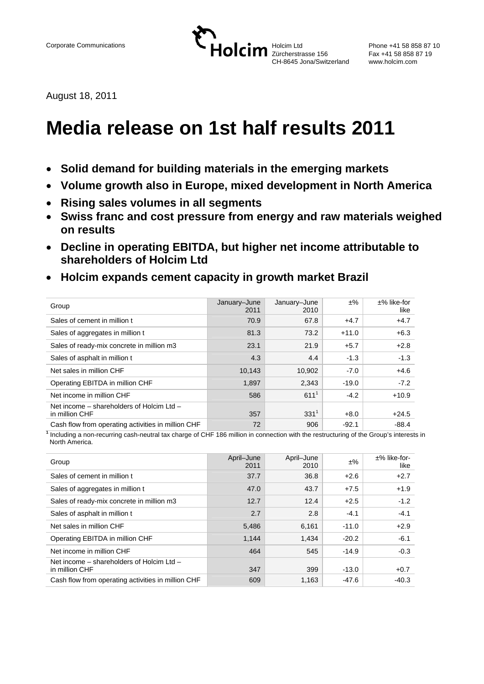

Phone +41 58 858 87 10 Fax +41 58 858 87 19

August 18, 2011

# **Media release on 1st half results 2011**

- **Solid demand for building materials in the emerging markets**
- **Volume growth also in Europe, mixed development in North America**
- **Rising sales volumes in all segments**
- **Swiss franc and cost pressure from energy and raw materials weighed on results**
- **Decline in operating EBITDA, but higher net income attributable to shareholders of Holcim Ltd**
- **Holcim expands cement capacity in growth market Brazil**

| Group                                                       | January-June<br>2011 | January-June<br>2010 | ±%      | $±%$ like-for<br>like |
|-------------------------------------------------------------|----------------------|----------------------|---------|-----------------------|
| Sales of cement in million t                                | 70.9                 | 67.8                 | $+4.7$  | $+4.7$                |
| Sales of aggregates in million t                            | 81.3                 | 73.2                 | $+11.0$ | $+6.3$                |
| Sales of ready-mix concrete in million m3                   | 23.1                 | 21.9                 | $+5.7$  | $+2.8$                |
| Sales of asphalt in million t                               | 4.3                  | 4.4                  | $-1.3$  | $-1.3$                |
| Net sales in million CHF                                    | 10,143               | 10,902               | $-7.0$  | $+4.6$                |
| Operating EBITDA in million CHF                             | 1,897                | 2,343                | $-19.0$ | $-7.2$                |
| Net income in million CHF                                   | 586                  | $611^{1}$            | $-4.2$  | $+10.9$               |
| Net income – shareholders of Holcim Ltd –<br>in million CHF | 357                  | $331^{1}$            | $+8.0$  | $+24.5$               |
| Cash flow from operating activities in million CHF          | 72                   | 906                  | $-92.1$ | $-88.4$               |

**<sup>1</sup>** Including a non-recurring cash-neutral tax charge of CHF 186 million in connection with the restructuring of the Group's interests in North America.

| Group                                                       | April-June<br>2011 | April-June<br>2010 | $\pm\%$ | ±% like-for-<br>like |
|-------------------------------------------------------------|--------------------|--------------------|---------|----------------------|
| Sales of cement in million t                                | 37.7               | 36.8               | $+2.6$  | $+2.7$               |
| Sales of aggregates in million t                            | 47.0               | 43.7               | $+7.5$  | $+1.9$               |
| Sales of ready-mix concrete in million m3                   | 12.7               | 12.4               | $+2.5$  | $-1.2$               |
| Sales of asphalt in million t                               | 2.7                | 2.8                | $-4.1$  | $-4.1$               |
| Net sales in million CHF                                    | 5,486              | 6,161              | $-11.0$ | $+2.9$               |
| Operating EBITDA in million CHF                             | 1,144              | 1,434              | $-20.2$ | $-6.1$               |
| Net income in million CHF                                   | 464                | 545                | $-14.9$ | $-0.3$               |
| Net income – shareholders of Holcim Ltd –<br>in million CHF | 347                | 399                | $-13.0$ | $+0.7$               |
| Cash flow from operating activities in million CHF          | 609                | 1,163              | -47.6   | $-40.3$              |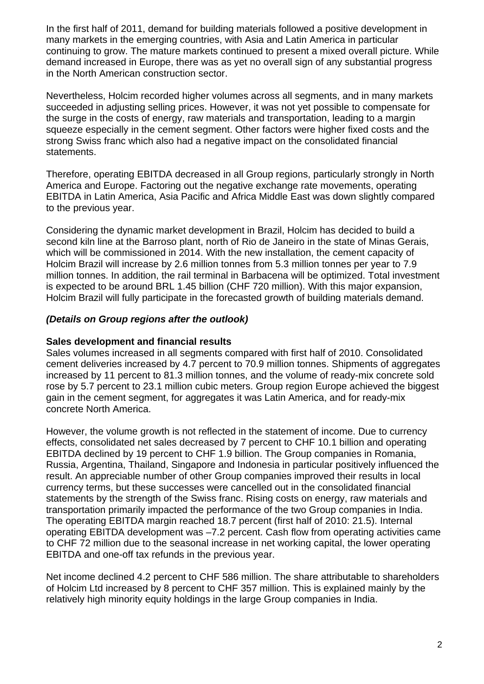In the first half of 2011, demand for building materials followed a positive development in many markets in the emerging countries, with Asia and Latin America in particular continuing to grow. The mature markets continued to present a mixed overall picture. While demand increased in Europe, there was as yet no overall sign of any substantial progress in the North American construction sector.

Nevertheless, Holcim recorded higher volumes across all segments, and in many markets succeeded in adjusting selling prices. However, it was not yet possible to compensate for the surge in the costs of energy, raw materials and transportation, leading to a margin squeeze especially in the cement segment. Other factors were higher fixed costs and the strong Swiss franc which also had a negative impact on the consolidated financial statements.

Therefore, operating EBITDA decreased in all Group regions, particularly strongly in North America and Europe. Factoring out the negative exchange rate movements, operating EBITDA in Latin America, Asia Pacific and Africa Middle East was down slightly compared to the previous year.

Considering the dynamic market development in Brazil, Holcim has decided to build a second kiln line at the Barroso plant, north of Rio de Janeiro in the state of Minas Gerais, which will be commissioned in 2014. With the new installation, the cement capacity of Holcim Brazil will increase by 2.6 million tonnes from 5.3 million tonnes per year to 7.9 million tonnes. In addition, the rail terminal in Barbacena will be optimized. Total investment is expected to be around BRL 1.45 billion (CHF 720 million). With this major expansion, Holcim Brazil will fully participate in the forecasted growth of building materials demand.

## *(Details on Group regions after the outlook)*

#### **Sales development and financial results**

Sales volumes increased in all segments compared with first half of 2010. Consolidated cement deliveries increased by 4.7 percent to 70.9 million tonnes. Shipments of aggregates increased by 11 percent to 81.3 million tonnes, and the volume of ready-mix concrete sold rose by 5.7 percent to 23.1 million cubic meters. Group region Europe achieved the biggest gain in the cement segment, for aggregates it was Latin America, and for ready-mix concrete North America.

However, the volume growth is not reflected in the statement of income. Due to currency effects, consolidated net sales decreased by 7 percent to CHF 10.1 billion and operating EBITDA declined by 19 percent to CHF 1.9 billion. The Group companies in Romania, Russia, Argentina, Thailand, Singapore and Indonesia in particular positively influenced the result. An appreciable number of other Group companies improved their results in local currency terms, but these successes were cancelled out in the consolidated financial statements by the strength of the Swiss franc. Rising costs on energy, raw materials and transportation primarily impacted the performance of the two Group companies in India. The operating EBITDA margin reached 18.7 percent (first half of 2010: 21.5). Internal operating EBITDA development was –7.2 percent. Cash flow from operating activities came to CHF 72 million due to the seasonal increase in net working capital, the lower operating EBITDA and one-off tax refunds in the previous year.

Net income declined 4.2 percent to CHF 586 million. The share attributable to shareholders of Holcim Ltd increased by 8 percent to CHF 357 million. This is explained mainly by the relatively high minority equity holdings in the large Group companies in India.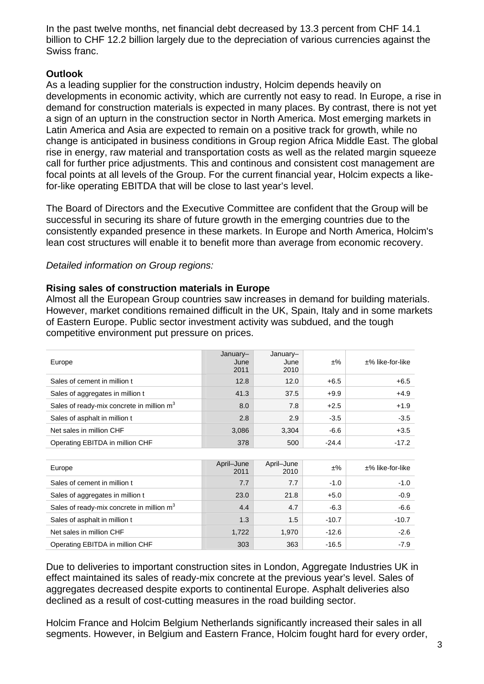In the past twelve months, net financial debt decreased by 13.3 percent from CHF 14.1 billion to CHF 12.2 billion largely due to the depreciation of various currencies against the Swiss franc.

## **Outlook**

As a leading supplier for the construction industry, Holcim depends heavily on developments in economic activity, which are currently not easy to read. In Europe, a rise in demand for construction materials is expected in many places. By contrast, there is not yet a sign of an upturn in the construction sector in North America. Most emerging markets in Latin America and Asia are expected to remain on a positive track for growth, while no change is anticipated in business conditions in Group region Africa Middle East. The global rise in energy, raw material and transportation costs as well as the related margin squeeze call for further price adjustments. This and continous and consistent cost management are focal points at all levels of the Group. For the current financial year, Holcim expects a likefor-like operating EBITDA that will be close to last year's level.

The Board of Directors and the Executive Committee are confident that the Group will be successful in securing its share of future growth in the emerging countries due to the consistently expanded presence in these markets. In Europe and North America, Holcim's lean cost structures will enable it to benefit more than average from economic recovery.

## *Detailed information on Group regions:*

## **Rising sales of construction materials in Europe**

Almost all the European Group countries saw increases in demand for building materials. However, market conditions remained difficult in the UK, Spain, Italy and in some markets of Eastern Europe. Public sector investment activity was subdued, and the tough competitive environment put pressure on prices.

| Europe                                                | January-<br>June<br>2011 | January-<br>June<br>2010 | ±%      | $±%$ like-for-like |
|-------------------------------------------------------|--------------------------|--------------------------|---------|--------------------|
| Sales of cement in million t                          | 12.8                     | 12.0                     | $+6.5$  | $+6.5$             |
| Sales of aggregates in million t                      | 41.3                     | 37.5                     | $+9.9$  | $+4.9$             |
| Sales of ready-mix concrete in million m <sup>3</sup> | 8.0                      | 7.8                      | $+2.5$  | $+1.9$             |
| Sales of asphalt in million t                         | 2.8                      | 2.9                      | $-3.5$  | $-3.5$             |
| Net sales in million CHF                              | 3,086                    | 3,304                    | $-6.6$  | $+3.5$             |
| Operating EBITDA in million CHF                       | 378                      | 500                      | $-24.4$ | $-17.2$            |

| Europe                                                | April-June<br>2011 | April-June<br>2010 | $±\%$   | $±%$ like-for-like |
|-------------------------------------------------------|--------------------|--------------------|---------|--------------------|
| Sales of cement in million t                          | 7.7                | 7.7                | $-1.0$  | $-1.0$             |
| Sales of aggregates in million t                      | 23.0               | 21.8               | $+5.0$  | $-0.9$             |
| Sales of ready-mix concrete in million m <sup>3</sup> | 4.4                | 4.7                | $-6.3$  | $-6.6$             |
| Sales of asphalt in million t                         | 1.3                | 1.5                | $-10.7$ | $-10.7$            |
| Net sales in million CHF                              | 1.722              | 1,970              | $-12.6$ | $-2.6$             |
| Operating EBITDA in million CHF                       | 303                | 363                | $-16.5$ | $-7.9$             |

Due to deliveries to important construction sites in London, Aggregate Industries UK in effect maintained its sales of ready-mix concrete at the previous year's level. Sales of aggregates decreased despite exports to continental Europe. Asphalt deliveries also declined as a result of cost-cutting measures in the road building sector.

Holcim France and Holcim Belgium Netherlands significantly increased their sales in all segments. However, in Belgium and Eastern France, Holcim fought hard for every order,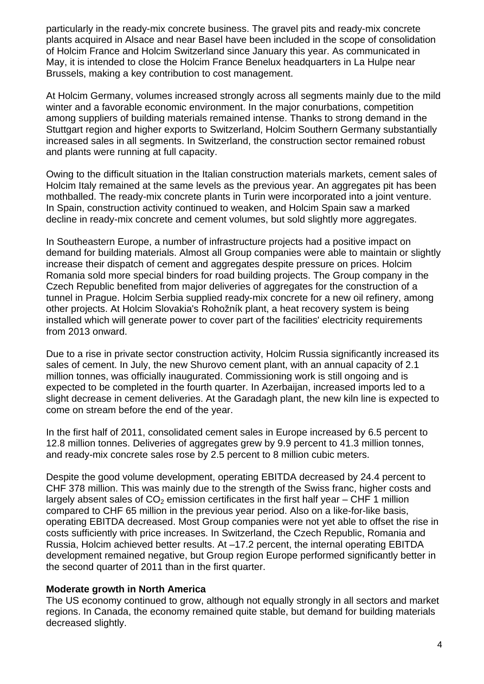particularly in the ready-mix concrete business. The gravel pits and ready-mix concrete plants acquired in Alsace and near Basel have been included in the scope of consolidation of Holcim France and Holcim Switzerland since January this year. As communicated in May, it is intended to close the Holcim France Benelux headquarters in La Hulpe near Brussels, making a key contribution to cost management.

At Holcim Germany, volumes increased strongly across all segments mainly due to the mild winter and a favorable economic environment. In the major conurbations, competition among suppliers of building materials remained intense. Thanks to strong demand in the Stuttgart region and higher exports to Switzerland, Holcim Southern Germany substantially increased sales in all segments. In Switzerland, the construction sector remained robust and plants were running at full capacity.

Owing to the difficult situation in the Italian construction materials markets, cement sales of Holcim Italy remained at the same levels as the previous year. An aggregates pit has been mothballed. The ready-mix concrete plants in Turin were incorporated into a joint venture. In Spain, construction activity continued to weaken, and Holcim Spain saw a marked decline in ready-mix concrete and cement volumes, but sold slightly more aggregates.

In Southeastern Europe, a number of infrastructure projects had a positive impact on demand for building materials. Almost all Group companies were able to maintain or slightly increase their dispatch of cement and aggregates despite pressure on prices. Holcim Romania sold more special binders for road building projects. The Group company in the Czech Republic benefited from major deliveries of aggregates for the construction of a tunnel in Prague. Holcim Serbia supplied ready-mix concrete for a new oil refinery, among other projects. At Holcim Slovakia's Rohožník plant, a heat recovery system is being installed which will generate power to cover part of the facilities' electricity requirements from 2013 onward.

Due to a rise in private sector construction activity, Holcim Russia significantly increased its sales of cement. In July, the new Shurovo cement plant, with an annual capacity of 2.1 million tonnes, was officially inaugurated. Commissioning work is still ongoing and is expected to be completed in the fourth quarter. In Azerbaijan, increased imports led to a slight decrease in cement deliveries. At the Garadagh plant, the new kiln line is expected to come on stream before the end of the year.

In the first half of 2011, consolidated cement sales in Europe increased by 6.5 percent to 12.8 million tonnes. Deliveries of aggregates grew by 9.9 percent to 41.3 million tonnes, and ready-mix concrete sales rose by 2.5 percent to 8 million cubic meters.

Despite the good volume development, operating EBITDA decreased by 24.4 percent to CHF 378 million. This was mainly due to the strength of the Swiss franc, higher costs and largely absent sales of  $CO<sub>2</sub>$  emission certificates in the first half year – CHF 1 million compared to CHF 65 million in the previous year period. Also on a like-for-like basis, operating EBITDA decreased. Most Group companies were not yet able to offset the rise in costs sufficiently with price increases. In Switzerland, the Czech Republic, Romania and Russia, Holcim achieved better results. At –17.2 percent, the internal operating EBITDA development remained negative, but Group region Europe performed significantly better in the second quarter of 2011 than in the first quarter.

#### **Moderate growth in North America**

The US economy continued to grow, although not equally strongly in all sectors and market regions. In Canada, the economy remained quite stable, but demand for building materials decreased slightly.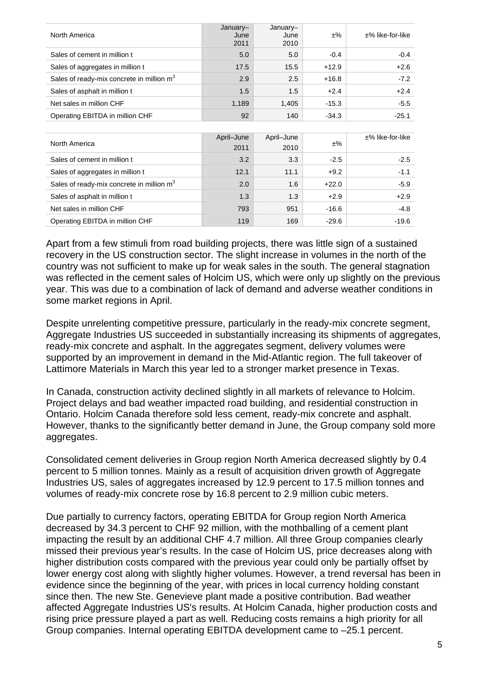| North America                                         | January-<br>June<br>2011 | January-<br>June<br>2010 | $±\%$   | $±%$ like-for-like |
|-------------------------------------------------------|--------------------------|--------------------------|---------|--------------------|
| Sales of cement in million t                          | 5.0                      | 5.0                      | $-0.4$  | $-0.4$             |
| Sales of aggregates in million t                      | 17.5                     | 15.5                     | $+12.9$ | $+2.6$             |
| Sales of ready-mix concrete in million m <sup>3</sup> | 2.9                      | 2.5                      | $+16.8$ | $-7.2$             |
| Sales of asphalt in million t                         | 1.5                      | 1.5                      | $+2.4$  | $+2.4$             |
| Net sales in million CHF                              | 1,189                    | 1,405                    | $-15.3$ | $-5.5$             |
| Operating EBITDA in million CHF                       | 92                       | 140                      | $-34.3$ | $-25.1$            |
|                                                       |                          |                          |         |                    |
|                                                       |                          |                          |         |                    |
| North America                                         | April-June<br>2011       | April-June<br>2010       | ±%      | $±%$ like-for-like |
| Sales of cement in million t                          | 3.2                      | 3.3                      | $-2.5$  | $-2.5$             |
| Sales of aggregates in million t                      | 12.1                     | 11.1                     | $+9.2$  | $-1.1$             |
| Sales of ready-mix concrete in million m <sup>3</sup> | 2.0                      | 1.6                      | $+22.0$ | $-5.9$             |
| Sales of asphalt in million t                         | 1.3                      | 1.3                      | $+2.9$  | $+2.9$             |
| Net sales in million CHF                              | 793                      | 951                      | $-16.6$ | $-4.8$             |

Apart from a few stimuli from road building projects, there was little sign of a sustained recovery in the US construction sector. The slight increase in volumes in the north of the country was not sufficient to make up for weak sales in the south. The general stagnation was reflected in the cement sales of Holcim US, which were only up slightly on the previous year. This was due to a combination of lack of demand and adverse weather conditions in some market regions in April.

Despite unrelenting competitive pressure, particularly in the ready-mix concrete segment, Aggregate Industries US succeeded in substantially increasing its shipments of aggregates, ready-mix concrete and asphalt. In the aggregates segment, delivery volumes were supported by an improvement in demand in the Mid-Atlantic region. The full takeover of Lattimore Materials in March this year led to a stronger market presence in Texas.

In Canada, construction activity declined slightly in all markets of relevance to Holcim. Project delays and bad weather impacted road building, and residential construction in Ontario. Holcim Canada therefore sold less cement, ready-mix concrete and asphalt. However, thanks to the significantly better demand in June, the Group company sold more aggregates.

Consolidated cement deliveries in Group region North America decreased slightly by 0.4 percent to 5 million tonnes. Mainly as a result of acquisition driven growth of Aggregate Industries US, sales of aggregates increased by 12.9 percent to 17.5 million tonnes and volumes of ready-mix concrete rose by 16.8 percent to 2.9 million cubic meters.

Due partially to currency factors, operating EBITDA for Group region North America decreased by 34.3 percent to CHF 92 million, with the mothballing of a cement plant impacting the result by an additional CHF 4.7 million. All three Group companies clearly missed their previous year's results. In the case of Holcim US, price decreases along with higher distribution costs compared with the previous year could only be partially offset by lower energy cost along with slightly higher volumes. However, a trend reversal has been in evidence since the beginning of the year, with prices in local currency holding constant since then. The new Ste. Genevieve plant made a positive contribution. Bad weather affected Aggregate Industries US's results. At Holcim Canada, higher production costs and rising price pressure played a part as well. Reducing costs remains a high priority for all Group companies. Internal operating EBITDA development came to –25.1 percent.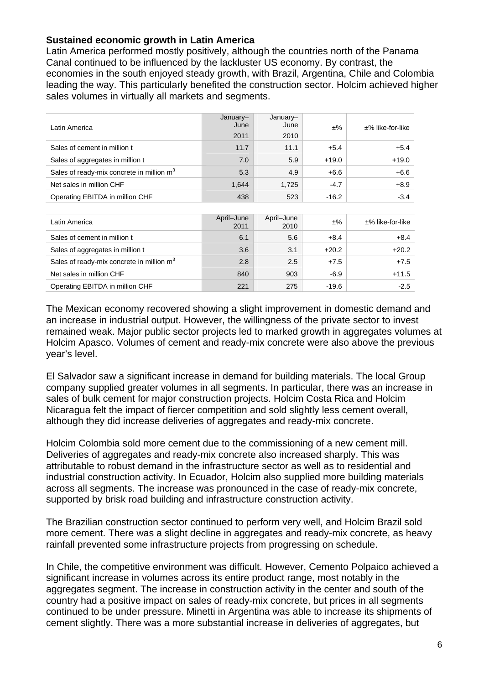## **Sustained economic growth in Latin America**

Latin America performed mostly positively, although the countries north of the Panama Canal continued to be influenced by the lackluster US economy. By contrast, the economies in the south enjoyed steady growth, with Brazil, Argentina, Chile and Colombia leading the way. This particularly benefited the construction sector. Holcim achieved higher sales volumes in virtually all markets and segments.

| Latin America                                         | January-<br>June<br>2011 | January-<br>June<br>2010 | $±\%$   | $±%$ like-for-like |
|-------------------------------------------------------|--------------------------|--------------------------|---------|--------------------|
| Sales of cement in million t                          | 11.7                     | 11.1                     | $+5.4$  | $+5.4$             |
| Sales of aggregates in million t                      | 7.0                      | 5.9                      | $+19.0$ | $+19.0$            |
| Sales of ready-mix concrete in million $m3$           | 5.3                      | 4.9                      | $+6.6$  | $+6.6$             |
| Net sales in million CHF                              | 1,644                    | 1,725                    | $-4.7$  | $+8.9$             |
| Operating EBITDA in million CHF                       | 438                      | 523                      | $-16.2$ | $-3.4$             |
|                                                       |                          |                          |         |                    |
| Latin America                                         | April-June<br>2011       | April-June<br>2010       | $±\%$   | $±%$ like-for-like |
| Sales of cement in million t                          | 6.1                      | 5.6                      | $+8.4$  | $+8.4$             |
| Sales of aggregates in million t                      | 3.6                      | 3.1                      | $+20.2$ | $+20.2$            |
| Sales of ready-mix concrete in million m <sup>3</sup> | 2.8                      | 2.5                      | $+7.5$  | $+7.5$             |
| Net sales in million CHF                              | 840                      | 903                      | -6.9    | $+11.5$            |
| Operating EBITDA in million CHF                       | 221                      | 275                      | $-19.6$ | $-2.5$             |

The Mexican economy recovered showing a slight improvement in domestic demand and an increase in industrial output. However, the willingness of the private sector to invest remained weak. Major public sector projects led to marked growth in aggregates volumes at Holcim Apasco. Volumes of cement and ready-mix concrete were also above the previous year's level.

El Salvador saw a significant increase in demand for building materials. The local Group company supplied greater volumes in all segments. In particular, there was an increase in sales of bulk cement for major construction projects. Holcim Costa Rica and Holcim Nicaragua felt the impact of fiercer competition and sold slightly less cement overall, although they did increase deliveries of aggregates and ready-mix concrete.

Holcim Colombia sold more cement due to the commissioning of a new cement mill. Deliveries of aggregates and ready-mix concrete also increased sharply. This was attributable to robust demand in the infrastructure sector as well as to residential and industrial construction activity. In Ecuador, Holcim also supplied more building materials across all segments. The increase was pronounced in the case of ready-mix concrete, supported by brisk road building and infrastructure construction activity.

The Brazilian construction sector continued to perform very well, and Holcim Brazil sold more cement. There was a slight decline in aggregates and ready-mix concrete, as heavy rainfall prevented some infrastructure projects from progressing on schedule.

In Chile, the competitive environment was difficult. However, Cemento Polpaico achieved a significant increase in volumes across its entire product range, most notably in the aggregates segment. The increase in construction activity in the center and south of the country had a positive impact on sales of ready-mix concrete, but prices in all segments continued to be under pressure. Minetti in Argentina was able to increase its shipments of cement slightly. There was a more substantial increase in deliveries of aggregates, but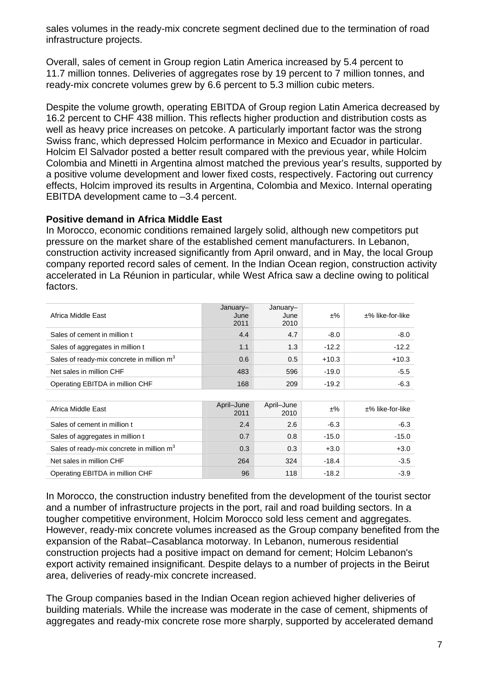sales volumes in the ready-mix concrete segment declined due to the termination of road infrastructure projects.

Overall, sales of cement in Group region Latin America increased by 5.4 percent to 11.7 million tonnes. Deliveries of aggregates rose by 19 percent to 7 million tonnes, and ready-mix concrete volumes grew by 6.6 percent to 5.3 million cubic meters.

Despite the volume growth, operating EBITDA of Group region Latin America decreased by 16.2 percent to CHF 438 million. This reflects higher production and distribution costs as well as heavy price increases on petcoke. A particularly important factor was the strong Swiss franc, which depressed Holcim performance in Mexico and Ecuador in particular. Holcim El Salvador posted a better result compared with the previous year, while Holcim Colombia and Minetti in Argentina almost matched the previous year's results, supported by a positive volume development and lower fixed costs, respectively. Factoring out currency effects, Holcim improved its results in Argentina, Colombia and Mexico. Internal operating EBITDA development came to –3.4 percent.

## **Positive demand in Africa Middle East**

In Morocco, economic conditions remained largely solid, although new competitors put pressure on the market share of the established cement manufacturers. In Lebanon, construction activity increased significantly from April onward, and in May, the local Group company reported record sales of cement. In the Indian Ocean region, construction activity accelerated in La Réunion in particular, while West Africa saw a decline owing to political factors.

| Africa Middle East                          | January-<br>June<br>2011 | January-<br>June<br>2010 | ±%      | $±%$ like-for-like |
|---------------------------------------------|--------------------------|--------------------------|---------|--------------------|
| Sales of cement in million t                | 4.4                      | 4.7                      | $-8.0$  | $-8.0$             |
| Sales of aggregates in million t            | 1.1                      | 1.3                      | $-12.2$ | $-12.2$            |
| Sales of ready-mix concrete in million $m3$ | 0.6                      | 0.5                      | $+10.3$ | $+10.3$            |
| Net sales in million CHF                    | 483                      | 596                      | $-19.0$ | $-5.5$             |
| Operating EBITDA in million CHF             | 168                      | 209                      | $-19.2$ | $-6.3$             |

| Africa Middle East                                    | April-June<br>2011 | April-June<br>2010 | $±\%$   | $±%$ like-for-like |
|-------------------------------------------------------|--------------------|--------------------|---------|--------------------|
| Sales of cement in million t                          | 2.4                | 2.6                | $-6.3$  | $-6.3$             |
| Sales of aggregates in million t                      | 0.7                | 0.8                | $-15.0$ | $-15.0$            |
| Sales of ready-mix concrete in million m <sup>3</sup> | 0.3                | 0.3                | $+3.0$  | $+3.0$             |
| Net sales in million CHF                              | 264                | 324                | $-18.4$ | $-3.5$             |
| Operating EBITDA in million CHF                       | 96                 | 118                | $-18.2$ | $-3.9$             |

In Morocco, the construction industry benefited from the development of the tourist sector and a number of infrastructure projects in the port, rail and road building sectors. In a tougher competitive environment, Holcim Morocco sold less cement and aggregates. However, ready-mix concrete volumes increased as the Group company benefited from the expansion of the Rabat–Casablanca motorway. In Lebanon, numerous residential construction projects had a positive impact on demand for cement; Holcim Lebanon's export activity remained insignificant. Despite delays to a number of projects in the Beirut area, deliveries of ready-mix concrete increased.

The Group companies based in the Indian Ocean region achieved higher deliveries of building materials. While the increase was moderate in the case of cement, shipments of aggregates and ready-mix concrete rose more sharply, supported by accelerated demand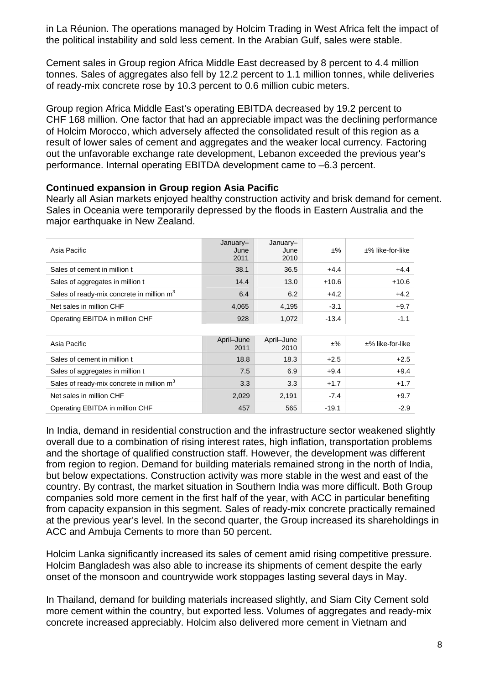in La Réunion. The operations managed by Holcim Trading in West Africa felt the impact of the political instability and sold less cement. In the Arabian Gulf, sales were stable.

Cement sales in Group region Africa Middle East decreased by 8 percent to 4.4 million tonnes. Sales of aggregates also fell by 12.2 percent to 1.1 million tonnes, while deliveries of ready-mix concrete rose by 10.3 percent to 0.6 million cubic meters.

Group region Africa Middle East's operating EBITDA decreased by 19.2 percent to CHF 168 million. One factor that had an appreciable impact was the declining performance of Holcim Morocco, which adversely affected the consolidated result of this region as a result of lower sales of cement and aggregates and the weaker local currency. Factoring out the unfavorable exchange rate development, Lebanon exceeded the previous year's performance. Internal operating EBITDA development came to –6.3 percent.

#### **Continued expansion in Group region Asia Pacific**

Nearly all Asian markets enjoyed healthy construction activity and brisk demand for cement. Sales in Oceania were temporarily depressed by the floods in Eastern Australia and the major earthquake in New Zealand.

| Asia Pacific                                          | January-<br>June<br>2011 | January-<br>June<br>2010 | $±\%$   | $\pm\%$ like-for-like |
|-------------------------------------------------------|--------------------------|--------------------------|---------|-----------------------|
| Sales of cement in million t                          | 38.1                     | 36.5                     | $+4.4$  | $+4.4$                |
| Sales of aggregates in million t                      | 14.4                     | 13.0                     | $+10.6$ | $+10.6$               |
| Sales of ready-mix concrete in million m <sup>3</sup> | 6.4                      | 6.2                      | $+4.2$  | $+4.2$                |
| Net sales in million CHF                              | 4,065                    | 4.195                    | $-3.1$  | $+9.7$                |
| Operating EBITDA in million CHF                       | 928                      | 1.072                    | $-13.4$ | $-1.1$                |

| Asia Pacific                                          | April-June<br>2011 | April-June<br>2010 | ±%      | $±%$ like-for-like |
|-------------------------------------------------------|--------------------|--------------------|---------|--------------------|
| Sales of cement in million t                          | 18.8               | 18.3               | $+2.5$  | $+2.5$             |
| Sales of aggregates in million t                      | 7.5                | 6.9                | $+9.4$  | $+9.4$             |
| Sales of ready-mix concrete in million m <sup>3</sup> | 3.3                | 3.3                | $+1.7$  | $+1.7$             |
| Net sales in million CHF                              | 2,029              | 2,191              | $-7.4$  | $+9.7$             |
| Operating EBITDA in million CHF                       | 457                | 565                | $-19.1$ | $-2.9$             |

In India, demand in residential construction and the infrastructure sector weakened slightly overall due to a combination of rising interest rates, high inflation, transportation problems and the shortage of qualified construction staff. However, the development was different from region to region. Demand for building materials remained strong in the north of India, but below expectations. Construction activity was more stable in the west and east of the country. By contrast, the market situation in Southern India was more difficult. Both Group companies sold more cement in the first half of the year, with ACC in particular benefiting from capacity expansion in this segment. Sales of ready-mix concrete practically remained at the previous year's level. In the second quarter, the Group increased its shareholdings in ACC and Ambuja Cements to more than 50 percent.

Holcim Lanka significantly increased its sales of cement amid rising competitive pressure. Holcim Bangladesh was also able to increase its shipments of cement despite the early onset of the monsoon and countrywide work stoppages lasting several days in May.

In Thailand, demand for building materials increased slightly, and Siam City Cement sold more cement within the country, but exported less. Volumes of aggregates and ready-mix concrete increased appreciably. Holcim also delivered more cement in Vietnam and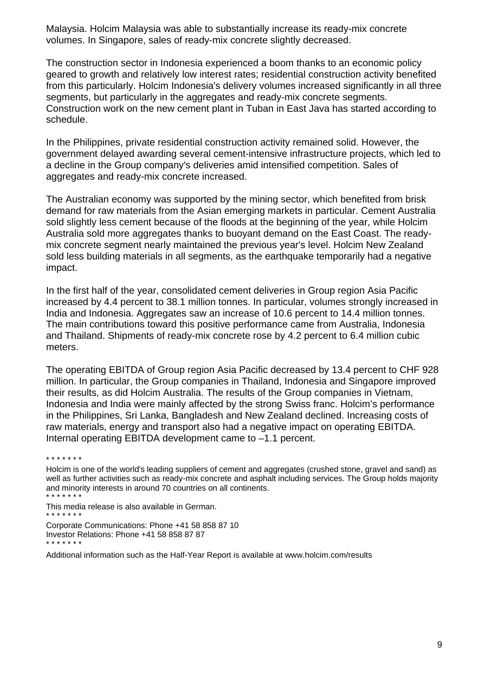Malaysia. Holcim Malaysia was able to substantially increase its ready-mix concrete volumes. In Singapore, sales of ready-mix concrete slightly decreased.

The construction sector in Indonesia experienced a boom thanks to an economic policy geared to growth and relatively low interest rates; residential construction activity benefited from this particularly. Holcim Indonesia's delivery volumes increased significantly in all three segments, but particularly in the aggregates and ready-mix concrete segments. Construction work on the new cement plant in Tuban in East Java has started according to schedule.

In the Philippines, private residential construction activity remained solid. However, the government delayed awarding several cement-intensive infrastructure projects, which led to a decline in the Group company's deliveries amid intensified competition. Sales of aggregates and ready-mix concrete increased.

The Australian economy was supported by the mining sector, which benefited from brisk demand for raw materials from the Asian emerging markets in particular. Cement Australia sold slightly less cement because of the floods at the beginning of the year, while Holcim Australia sold more aggregates thanks to buoyant demand on the East Coast. The readymix concrete segment nearly maintained the previous year's level. Holcim New Zealand sold less building materials in all segments, as the earthquake temporarily had a negative impact.

In the first half of the year, consolidated cement deliveries in Group region Asia Pacific increased by 4.4 percent to 38.1 million tonnes. In particular, volumes strongly increased in India and Indonesia. Aggregates saw an increase of 10.6 percent to 14.4 million tonnes. The main contributions toward this positive performance came from Australia, Indonesia and Thailand. Shipments of ready-mix concrete rose by 4.2 percent to 6.4 million cubic meters.

The operating EBITDA of Group region Asia Pacific decreased by 13.4 percent to CHF 928 million. In particular, the Group companies in Thailand, Indonesia and Singapore improved their results, as did Holcim Australia. The results of the Group companies in Vietnam, Indonesia and India were mainly affected by the strong Swiss franc. Holcim's performance in the Philippines, Sri Lanka, Bangladesh and New Zealand declined. Increasing costs of raw materials, energy and transport also had a negative impact on operating EBITDA. Internal operating EBITDA development came to –1.1 percent.

\* \* \* \* \* \* \*

This media release is also available in German. \* \* \* \* \* \* \*

Additional information such as the Half-Year Report is available at www.holcim.com/results

Holcim is one of the world's leading suppliers of cement and aggregates (crushed stone, gravel and sand) as well as further activities such as ready-mix concrete and asphalt including services. The Group holds majority and minority interests in around 70 countries on all continents. \* \* \* \* \* \* \*

Corporate Communications: Phone +41 58 858 87 10 Investor Relations: Phone +41 58 858 87 87 \* \* \* \* \* \* \*